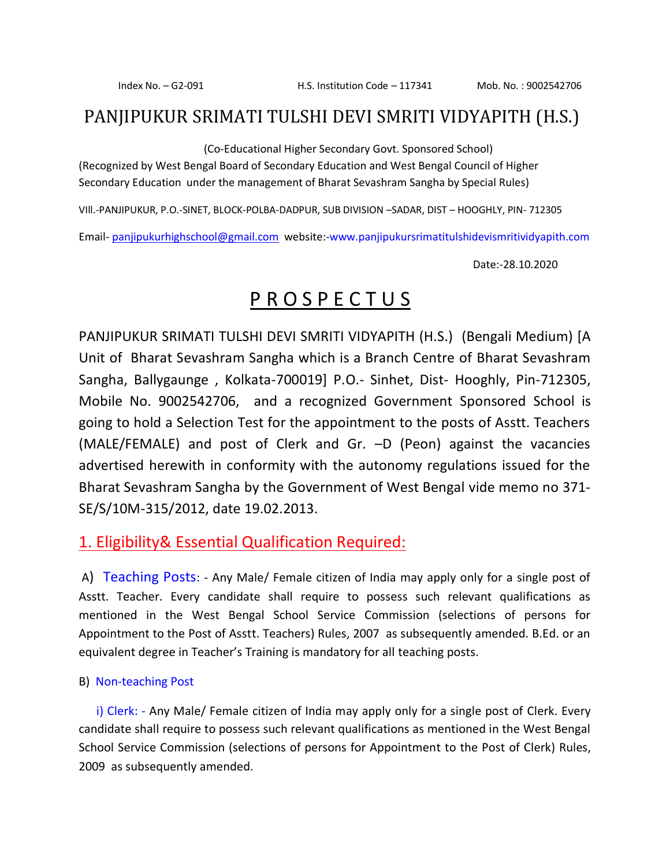### PANJIPUKUR SRIMATI TULSHI DEVI SMRITI VIDYAPITH (H.S.)

(Co-Educational Higher Secondary Govt. Sponsored School)

(Recognized by West Bengal Board of Secondary Education and West Bengal Council of Higher Secondary Education under the management of Bharat Sevashram Sangha by Special Rules)

VIll.-PANJIPUKUR, P.O.-SINET, BLOCK-POLBA-DADPUR, SUB DIVISION –SADAR, DIST – HOOGHLY, PIN- 712305

Email- [panjipukurhighschool@gmail.com](mailto:panjipukurhighschool@gmail.com) website:-www.panjipukursrimatitulshidevismritividyapith.com

Date:-28.10.2020

### P R O S P E C T U S

PANJIPUKUR SRIMATI TULSHI DEVI SMRITI VIDYAPITH (H.S.) (Bengali Medium) [A Unit of Bharat Sevashram Sangha which is a Branch Centre of Bharat Sevashram Sangha, Ballygaunge , Kolkata-700019] P.O.- Sinhet, Dist- Hooghly, Pin-712305, Mobile No. 9002542706, and a recognized Government Sponsored School is going to hold a Selection Test for the appointment to the posts of Asstt. Teachers (MALE/FEMALE) and post of Clerk and Gr. –D (Peon) against the vacancies advertised herewith in conformity with the autonomy regulations issued for the Bharat Sevashram Sangha by the Government of West Bengal vide memo no 371- SE/S/10M-315/2012, date 19.02.2013.

#### 1. Eligibility& Essential Qualification Required:

A) Teaching Posts: - Any Male/ Female citizen of India may apply only for a single post of Asstt. Teacher. Every candidate shall require to possess such relevant qualifications as mentioned in the West Bengal School Service Commission (selections of persons for Appointment to the Post of Asstt. Teachers) Rules, 2007 as subsequently amended. B.Ed. or an equivalent degree in Teacher's Training is mandatory for all teaching posts.

#### B) Non-teaching Post

 i) Clerk: - Any Male/ Female citizen of India may apply only for a single post of Clerk. Every candidate shall require to possess such relevant qualifications as mentioned in the West Bengal School Service Commission (selections of persons for Appointment to the Post of Clerk) Rules, 2009 as subsequently amended.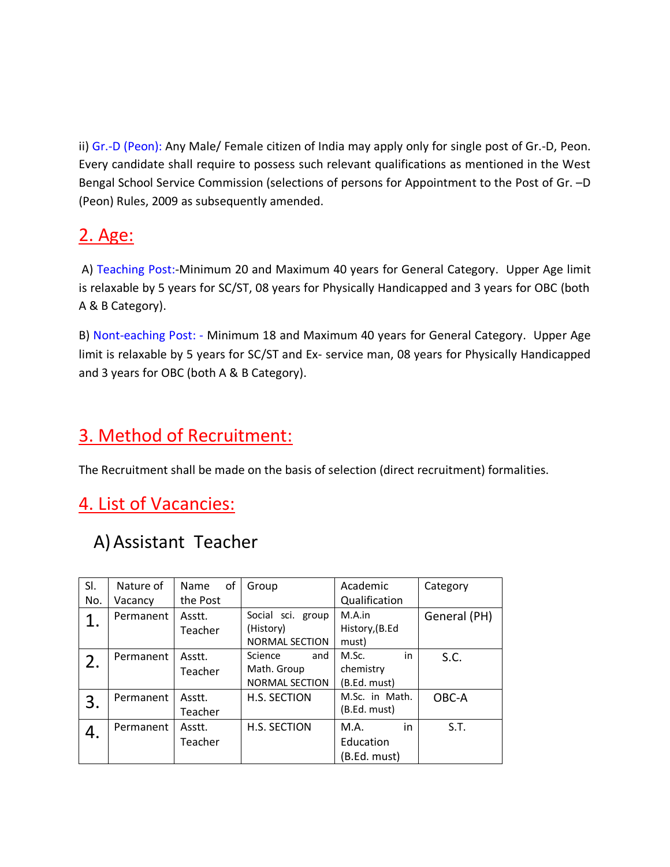ii) Gr.-D (Peon): Any Male/ Female citizen of India may apply only for single post of Gr.-D, Peon. Every candidate shall require to possess such relevant qualifications as mentioned in the West Bengal School Service Commission (selections of persons for Appointment to the Post of Gr. –D (Peon) Rules, 2009 as subsequently amended.

# 2. Age:

A) Teaching Post:-Minimum 20 and Maximum 40 years for General Category. Upper Age limit is relaxable by 5 years for SC/ST, 08 years for Physically Handicapped and 3 years for OBC (both A & B Category).

B) Nont-eaching Post: - Minimum 18 and Maximum 40 years for General Category. Upper Age limit is relaxable by 5 years for SC/ST and Ex- service man, 08 years for Physically Handicapped and 3 years for OBC (both A & B Category).

## 3. Method of Recruitment:

The Recruitment shall be made on the basis of selection (direct recruitment) formalities.

## 4. List of Vacancies:

# A)Assistant Teacher

| SI. | Nature of | Name<br>οf | Group                 | Academic       | Category     |
|-----|-----------|------------|-----------------------|----------------|--------------|
| No. | Vacancy   | the Post   |                       | Qualification  |              |
| 1.  | Permanent | Asstt.     | Social sci. group     | M.A.in         | General (PH) |
|     |           | Teacher    | (History)             | History, (B.Ed |              |
|     |           |            | <b>NORMAL SECTION</b> | must)          |              |
| 2.  | Permanent | Asstt.     | Science<br>and        | in<br>M.Sc.    | S.C.         |
|     |           | Teacher    | Math. Group           | chemistry      |              |
|     |           |            | <b>NORMAL SECTION</b> | (B.Ed. must)   |              |
| 3.  | Permanent | Asstt.     | H.S. SECTION          | M.Sc. in Math. | OBC-A        |
|     |           | Teacher    |                       | (B.Ed. must)   |              |
| 4.  | Permanent | Asstt.     | H.S. SECTION          | in<br>M.A.     | S.T.         |
|     |           | Teacher    |                       | Education      |              |
|     |           |            |                       | (B.Ed. must)   |              |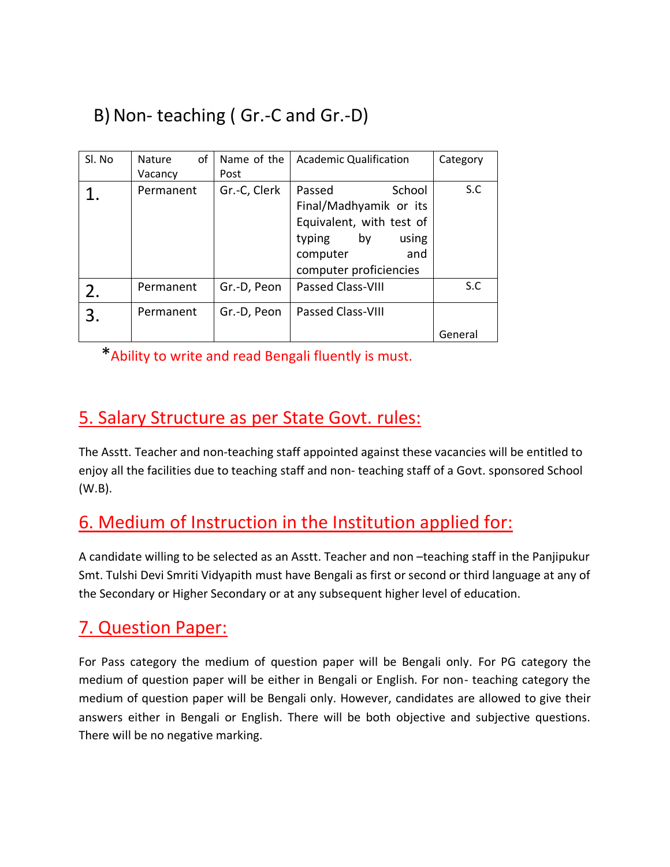# B)Non- teaching ( Gr.-C and Gr.-D)

| Sl. No | of<br>Nature<br>Vacancy | Name of the<br>Post | Academic Qualification                                                                                                                       | Category |
|--------|-------------------------|---------------------|----------------------------------------------------------------------------------------------------------------------------------------------|----------|
|        | Permanent               | Gr.-C, Clerk        | School<br>Passed<br>Final/Madhyamik or its<br>Equivalent, with test of<br>typing<br>by<br>using<br>and<br>computer<br>computer proficiencies | S.C      |
| 2.     | Permanent               | Gr.-D, Peon         | <b>Passed Class-VIII</b>                                                                                                                     | S.C      |
| 3.     | Permanent               | Gr.-D, Peon         | Passed Class-VIII                                                                                                                            | General  |

\*Ability to write and read Bengali fluently is must.

## 5. Salary Structure as per State Govt. rules:

The Asstt. Teacher and non-teaching staff appointed against these vacancies will be entitled to enjoy all the facilities due to teaching staff and non- teaching staff of a Govt. sponsored School (W.B).

## 6. Medium of Instruction in the Institution applied for:

A candidate willing to be selected as an Asstt. Teacher and non –teaching staff in the Panjipukur Smt. Tulshi Devi Smriti Vidyapith must have Bengali as first or second or third language at any of the Secondary or Higher Secondary or at any subsequent higher level of education.

### 7. Question Paper:

For Pass category the medium of question paper will be Bengali only. For PG category the medium of question paper will be either in Bengali or English. For non- teaching category the medium of question paper will be Bengali only. However, candidates are allowed to give their answers either in Bengali or English. There will be both objective and subjective questions. There will be no negative marking.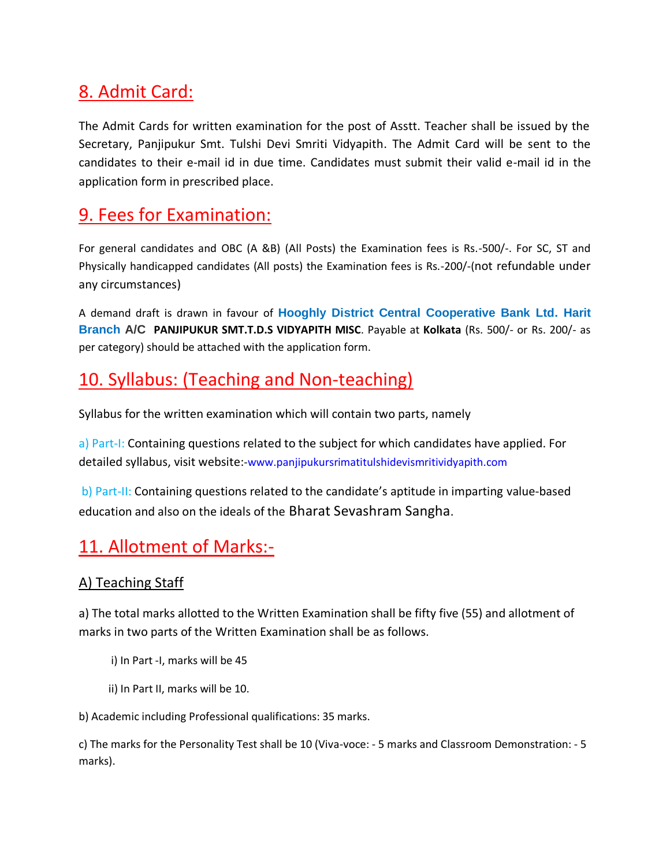## 8. Admit Card:

The Admit Cards for written examination for the post of Asstt. Teacher shall be issued by the Secretary, Panjipukur Smt. Tulshi Devi Smriti Vidyapith. The Admit Card will be sent to the candidates to their e-mail id in due time. Candidates must submit their valid e-mail id in the application form in prescribed place.

### 9. Fees for Examination:

For general candidates and OBC (A &B) (All Posts) the Examination fees is Rs.-500/-. For SC, ST and Physically handicapped candidates (All posts) the Examination fees is Rs.-200/-(not refundable under any circumstances)

A demand draft is drawn in favour of **Hooghly District Central Cooperative Bank Ltd. Harit Branch A/C PANJIPUKUR SMT.T.D.S VIDYAPITH MISC**. Payable at **Kolkata** (Rs. 500/- or Rs. 200/- as per category) should be attached with the application form.

## 10. Syllabus: (Teaching and Non-teaching)

Syllabus for the written examination which will contain two parts, namely

a) Part-I: Containing questions related to the subject for which candidates have applied. For detailed syllabus, visit website:-www.panjipukursrimatitulshidevismritividyapith.com

b) Part-II: Containing questions related to the candidate's aptitude in imparting value-based education and also on the ideals of the Bharat Sevashram Sangha.

### 11. Allotment of Marks:-

### A) Teaching Staff

a) The total marks allotted to the Written Examination shall be fifty five (55) and allotment of marks in two parts of the Written Examination shall be as follows.

- i) In Part -I, marks will be 45
- ii) In Part II, marks will be 10.

b) Academic including Professional qualifications: 35 marks.

c) The marks for the Personality Test shall be 10 (Viva-voce: - 5 marks and Classroom Demonstration: - 5 marks).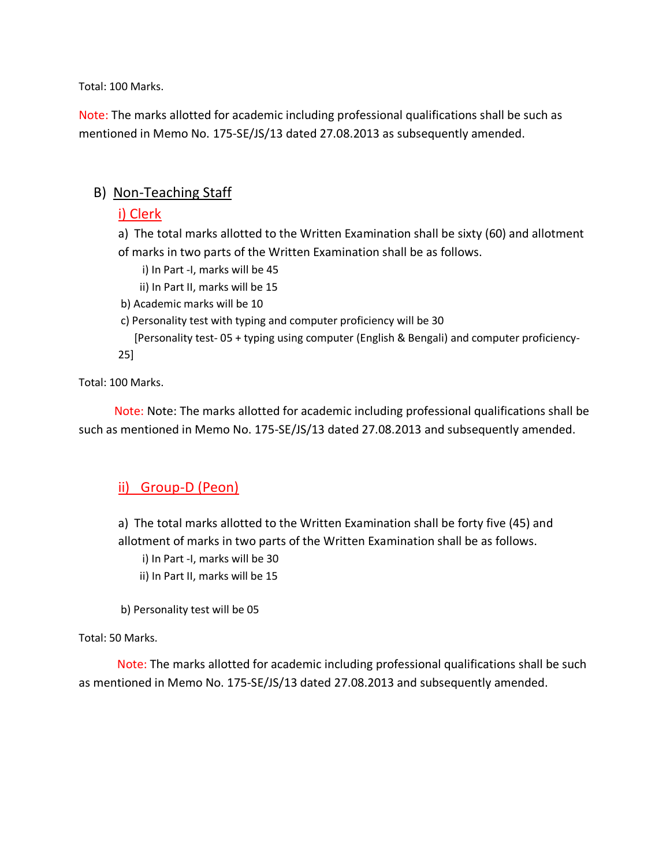Total: 100 Marks.

Note: The marks allotted for academic including professional qualifications shall be such as mentioned in Memo No. 175-SE/JS/13 dated 27.08.2013 as subsequently amended.

#### B) Non-Teaching Staff

#### i) Clerk

a) The total marks allotted to the Written Examination shall be sixty (60) and allotment of marks in two parts of the Written Examination shall be as follows.

- i) In Part -I, marks will be 45
- ii) In Part II, marks will be 15
- b) Academic marks will be 10
- c) Personality test with typing and computer proficiency will be 30

 [Personality test- 05 + typing using computer (English & Bengali) and computer proficiency-25]

Total: 100 Marks.

 Note: Note: The marks allotted for academic including professional qualifications shall be such as mentioned in Memo No. 175-SE/JS/13 dated 27.08.2013 and subsequently amended.

### ii) Group-D (Peon)

a) The total marks allotted to the Written Examination shall be forty five (45) and allotment of marks in two parts of the Written Examination shall be as follows.

i) In Part -I, marks will be 30

ii) In Part II, marks will be 15

b) Personality test will be 05

#### Total: 50 Marks.

 Note: The marks allotted for academic including professional qualifications shall be such as mentioned in Memo No. 175-SE/JS/13 dated 27.08.2013 and subsequently amended.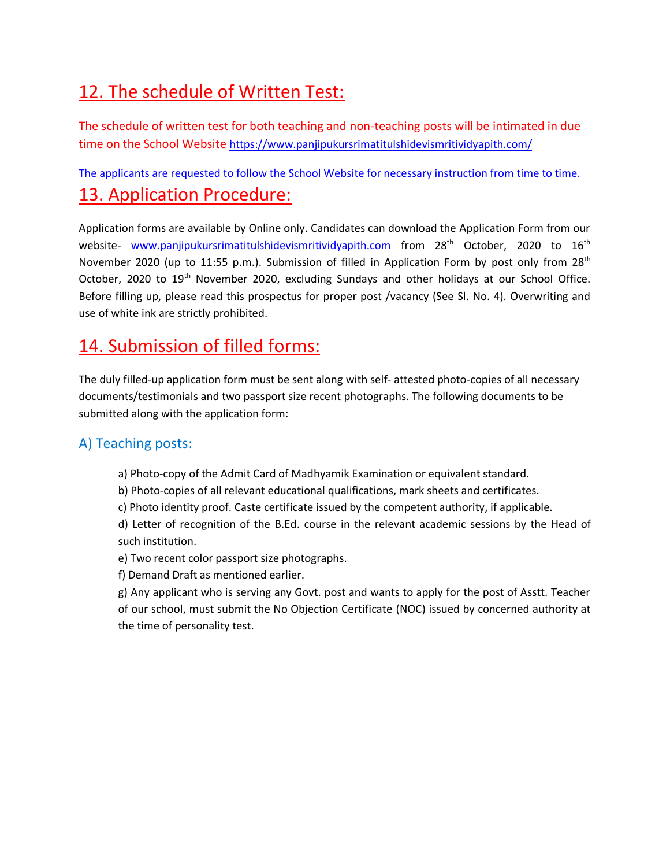# 12. The schedule of Written Test:

The schedule of written test for both teaching and non-teaching posts will be intimated in due time on the School Website <https://www.panjipukursrimatitulshidevismritividyapith.com/>

The applicants are requested to follow the School Website for necessary instruction from time to time.

## 13. Application Procedure:

Application forms are available by Online only. Candidates can download the Application Form from our website- [www.panjipukursrimatitulshidevismritividyapith.com](http://www.panjipukursrimatitulshidevismritividyapith.com/) from 28<sup>th</sup> October, 2020 to 16<sup>th</sup> November 2020 (up to 11:55 p.m.). Submission of filled in Application Form by post only from 28<sup>th</sup> October, 2020 to 19<sup>th</sup> November 2020, excluding Sundays and other holidays at our School Office. Before filling up, please read this prospectus for proper post /vacancy (See Sl. No. 4). Overwriting and use of white ink are strictly prohibited.

## 14. Submission of filled forms:

The duly filled-up application form must be sent along with self- attested photo-copies of all necessary documents/testimonials and two passport size recent photographs. The following documents to be submitted along with the application form:

### A) Teaching posts:

- a) Photo-copy of the Admit Card of Madhyamik Examination or equivalent standard.
- b) Photo-copies of all relevant educational qualifications, mark sheets and certificates.
- c) Photo identity proof. Caste certificate issued by the competent authority, if applicable.

d) Letter of recognition of the B.Ed. course in the relevant academic sessions by the Head of such institution.

- e) Two recent color passport size photographs.
- f) Demand Draft as mentioned earlier.

g) Any applicant who is serving any Govt. post and wants to apply for the post of Asstt. Teacher of our school, must submit the No Objection Certificate (NOC) issued by concerned authority at the time of personality test.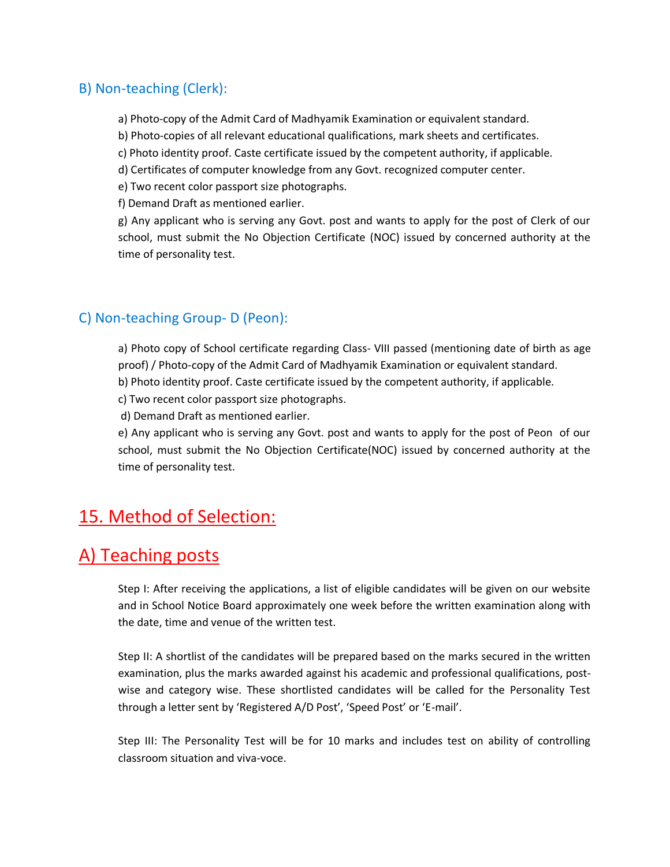#### B) Non-teaching (Clerk):

a) Photo-copy of the Admit Card of Madhyamik Examination or equivalent standard.

b) Photo-copies of all relevant educational qualifications, mark sheets and certificates.

c) Photo identity proof. Caste certificate issued by the competent authority, if applicable.

d) Certificates of computer knowledge from any Govt. recognized computer center.

e) Two recent color passport size photographs.

f) Demand Draft as mentioned earlier.

g) Any applicant who is serving any Govt. post and wants to apply for the post of Clerk of our school, must submit the No Objection Certificate (NOC) issued by concerned authority at the time of personality test.

### C) Non-teaching Group- D (Peon):

a) Photo copy of School certificate regarding Class- VIII passed (mentioning date of birth as age proof) / Photo-copy of the Admit Card of Madhyamik Examination or equivalent standard. b) Photo identity proof. Caste certificate issued by the competent authority, if applicable.

c) Two recent color passport size photographs.

d) Demand Draft as mentioned earlier.

e) Any applicant who is serving any Govt. post and wants to apply for the post of Peon of our school, must submit the No Objection Certificate(NOC) issued by concerned authority at the time of personality test.

### 15. Method of Selection:

### A) Teaching posts

Step I: After receiving the applications, a list of eligible candidates will be given on our website and in School Notice Board approximately one week before the written examination along with the date, time and venue of the written test.

Step II: A shortlist of the candidates will be prepared based on the marks secured in the written examination, plus the marks awarded against his academic and professional qualifications, postwise and category wise. These shortlisted candidates will be called for the Personality Test through a letter sent by 'Registered A/D Post', 'Speed Post' or 'E-mail'.

Step III: The Personality Test will be for 10 marks and includes test on ability of controlling classroom situation and viva-voce.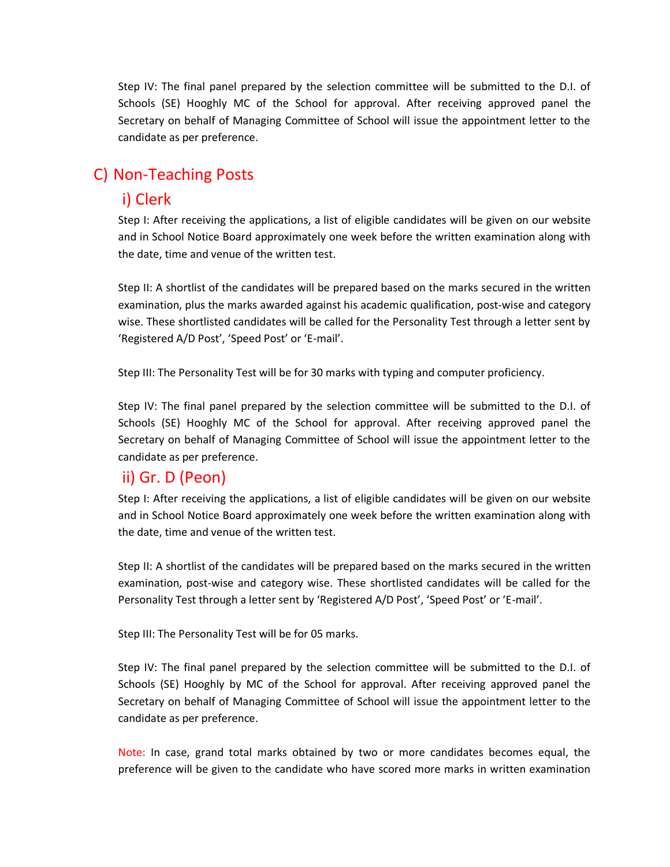Step IV: The final panel prepared by the selection committee will be submitted to the D.I. of Schools (SE) Hooghly MC of the School for approval. After receiving approved panel the Secretary on behalf of Managing Committee of School will issue the appointment letter to the candidate as per preference.

### C) Non-Teaching Posts

### i) Clerk

Step I: After receiving the applications, a list of eligible candidates will be given on our website and in School Notice Board approximately one week before the written examination along with the date, time and venue of the written test.

Step II: A shortlist of the candidates will be prepared based on the marks secured in the written examination, plus the marks awarded against his academic qualification, post-wise and category wise. These shortlisted candidates will be called for the Personality Test through a letter sent by 'Registered A/D Post', 'Speed Post' or 'E-mail'.

Step III: The Personality Test will be for 30 marks with typing and computer proficiency.

Step IV: The final panel prepared by the selection committee will be submitted to the D.I. of Schools (SE) Hooghly MC of the School for approval. After receiving approved panel the Secretary on behalf of Managing Committee of School will issue the appointment letter to the candidate as per preference.

### ii) Gr. D (Peon)

Step I: After receiving the applications, a list of eligible candidates will be given on our website and in School Notice Board approximately one week before the written examination along with the date, time and venue of the written test.

Step II: A shortlist of the candidates will be prepared based on the marks secured in the written examination, post-wise and category wise. These shortlisted candidates will be called for the Personality Test through a letter sent by 'Registered A/D Post', 'Speed Post' or 'E-mail'.

Step III: The Personality Test will be for 05 marks.

Step IV: The final panel prepared by the selection committee will be submitted to the D.I. of Schools (SE) Hooghly by MC of the School for approval. After receiving approved panel the Secretary on behalf of Managing Committee of School will issue the appointment letter to the candidate as per preference.

Note: In case, grand total marks obtained by two or more candidates becomes equal, the preference will be given to the candidate who have scored more marks in written examination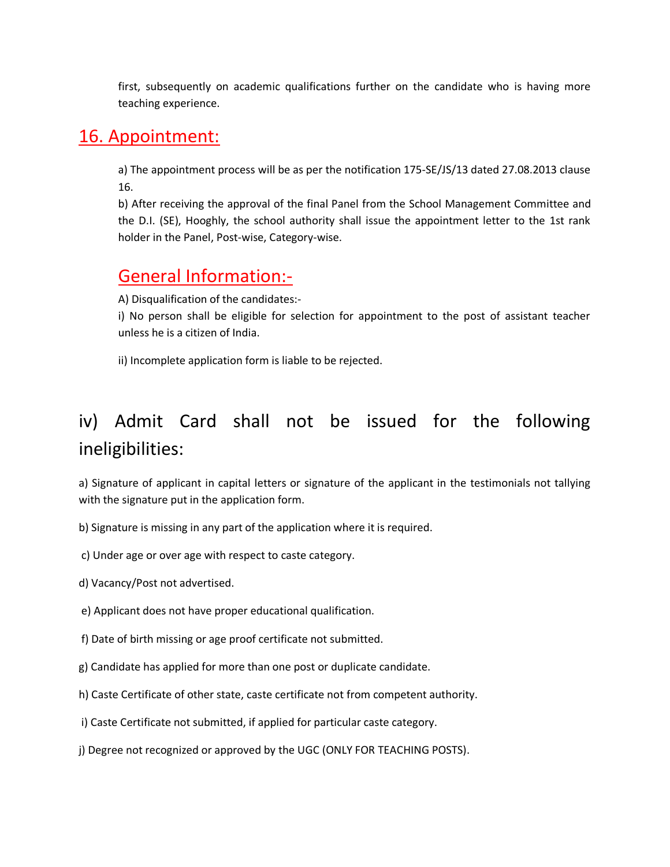first, subsequently on academic qualifications further on the candidate who is having more teaching experience.

### 16. Appointment:

a) The appointment process will be as per the notification 175-SE/JS/13 dated 27.08.2013 clause 16.

b) After receiving the approval of the final Panel from the School Management Committee and the D.I. (SE), Hooghly, the school authority shall issue the appointment letter to the 1st rank holder in the Panel, Post-wise, Category-wise.

### General Information:-

A) Disqualification of the candidates:-

i) No person shall be eligible for selection for appointment to the post of assistant teacher unless he is a citizen of India.

ii) Incomplete application form is liable to be rejected.

# iv) Admit Card shall not be issued for the following ineligibilities:

a) Signature of applicant in capital letters or signature of the applicant in the testimonials not tallying with the signature put in the application form.

b) Signature is missing in any part of the application where it is required.

c) Under age or over age with respect to caste category.

d) Vacancy/Post not advertised.

e) Applicant does not have proper educational qualification.

f) Date of birth missing or age proof certificate not submitted.

- g) Candidate has applied for more than one post or duplicate candidate.
- h) Caste Certificate of other state, caste certificate not from competent authority.
- i) Caste Certificate not submitted, if applied for particular caste category.
- j) Degree not recognized or approved by the UGC (ONLY FOR TEACHING POSTS).